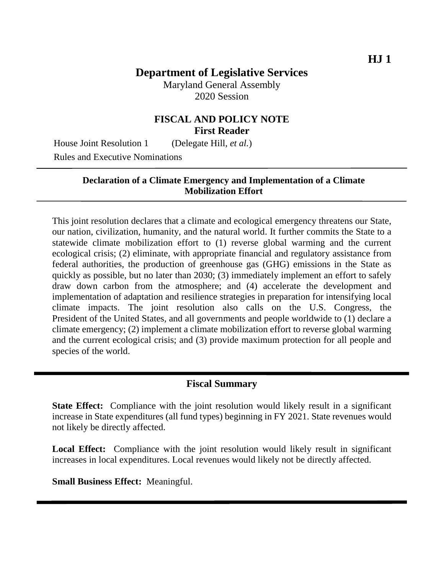Maryland General Assembly 2020 Session

## **FISCAL AND POLICY NOTE First Reader**

House Joint Resolution 1 (Delegate Hill, *et al.*) Rules and Executive Nominations

### **Declaration of a Climate Emergency and Implementation of a Climate Mobilization Effort**

This joint resolution declares that a climate and ecological emergency threatens our State, our nation, civilization, humanity, and the natural world. It further commits the State to a statewide climate mobilization effort to (1) reverse global warming and the current ecological crisis; (2) eliminate, with appropriate financial and regulatory assistance from federal authorities, the production of greenhouse gas (GHG) emissions in the State as quickly as possible, but no later than 2030; (3) immediately implement an effort to safely draw down carbon from the atmosphere; and (4) accelerate the development and implementation of adaptation and resilience strategies in preparation for intensifying local climate impacts. The joint resolution also calls on the U.S. Congress, the President of the United States, and all governments and people worldwide to (1) declare a climate emergency; (2) implement a climate mobilization effort to reverse global warming and the current ecological crisis; and (3) provide maximum protection for all people and species of the world.

### **Fiscal Summary**

**State Effect:** Compliance with the joint resolution would likely result in a significant increase in State expenditures (all fund types) beginning in FY 2021. State revenues would not likely be directly affected.

Local Effect: Compliance with the joint resolution would likely result in significant increases in local expenditures. Local revenues would likely not be directly affected.

**Small Business Effect:** Meaningful.

 **HJ 1**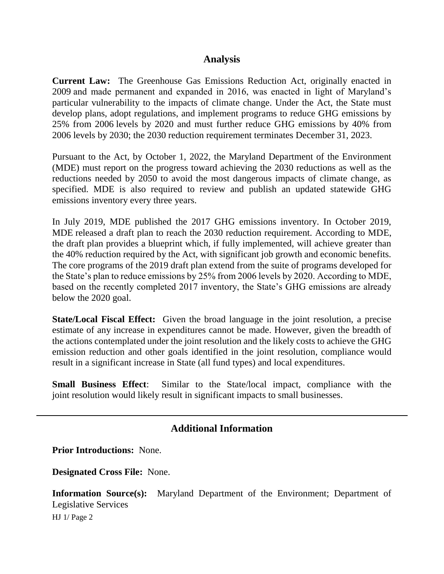### **Analysis**

**Current Law:** The Greenhouse Gas Emissions Reduction Act, originally enacted in 2009 and made permanent and expanded in 2016, was enacted in light of Maryland's particular vulnerability to the impacts of climate change. Under the Act, the State must develop plans, adopt regulations, and implement programs to reduce GHG emissions by 25% from 2006 levels by 2020 and must further reduce GHG emissions by 40% from 2006 levels by 2030; the 2030 reduction requirement terminates December 31, 2023.

Pursuant to the Act, by October 1, 2022, the Maryland Department of the Environment (MDE) must report on the progress toward achieving the 2030 reductions as well as the reductions needed by 2050 to avoid the most dangerous impacts of climate change, as specified. MDE is also required to review and publish an updated statewide GHG emissions inventory every three years.

In July 2019, MDE published the 2017 GHG emissions inventory. In October 2019, MDE released a draft plan to reach the 2030 reduction requirement. According to MDE, the draft plan provides a blueprint which, if fully implemented, will achieve greater than the 40% reduction required by the Act, with significant job growth and economic benefits. The core programs of the 2019 draft plan extend from the suite of programs developed for the State's plan to reduce emissions by 25% from 2006 levels by 2020. According to MDE, based on the recently completed 2017 inventory, the State's GHG emissions are already below the 2020 goal.

**State/Local Fiscal Effect:** Given the broad language in the joint resolution, a precise estimate of any increase in expenditures cannot be made. However, given the breadth of the actions contemplated under the joint resolution and the likely costs to achieve the GHG emission reduction and other goals identified in the joint resolution, compliance would result in a significant increase in State (all fund types) and local expenditures.

**Small Business Effect**: Similar to the State/local impact, compliance with the joint resolution would likely result in significant impacts to small businesses.

# **Additional Information**

**Prior Introductions:** None.

**Designated Cross File:** None.

**Information Source(s):** Maryland Department of the Environment; Department of Legislative Services

HJ 1/ Page 2